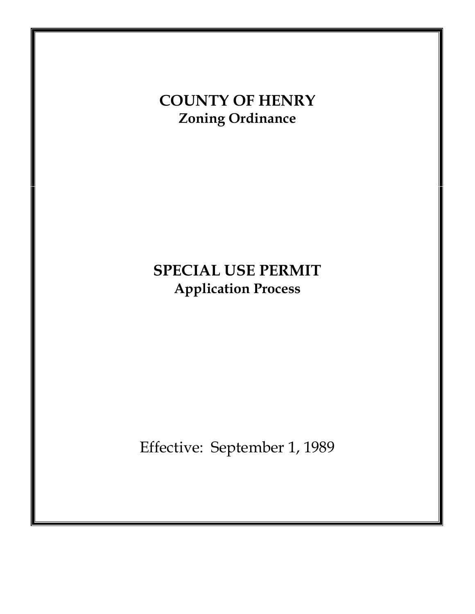# **COUNTY OF HENRY Zoning Ordinance**

# **SPECIAL USE PERMIT Application Process**

Effective: September 1, 1989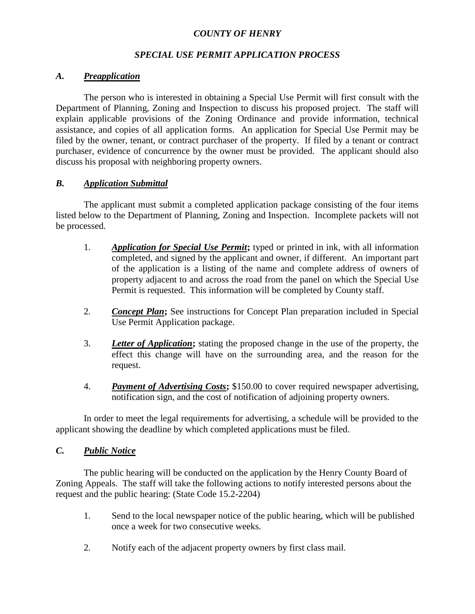## *COUNTY OF HENRY*

# *SPECIAL USE PERMIT APPLICATION PROCESS*

## *A. Preapplication*

The person who is interested in obtaining a Special Use Permit will first consult with the Department of Planning, Zoning and Inspection to discuss his proposed project. The staff will explain applicable provisions of the Zoning Ordinance and provide information, technical assistance, and copies of all application forms. An application for Special Use Permit may be filed by the owner, tenant, or contract purchaser of the property. If filed by a tenant or contract purchaser, evidence of concurrence by the owner must be provided. The applicant should also discuss his proposal with neighboring property owners.

## *B. Application Submittal*

The applicant must submit a completed application package consisting of the four items listed below to the Department of Planning, Zoning and Inspection. Incomplete packets will not be processed.

- 1. *Application for Special Use Permit***;** typed or printed in ink, with all information completed, and signed by the applicant and owner, if different. An important part of the application is a listing of the name and complete address of owners of property adjacent to and across the road from the panel on which the Special Use Permit is requested. This information will be completed by County staff.
- 2. *Concept Plan***;** See instructions for Concept Plan preparation included in Special Use Permit Application package.
- 3. *Letter of Application***;** stating the proposed change in the use of the property, the effect this change will have on the surrounding area, and the reason for the request.
- 4. *Payment of Advertising Costs***;** \$150.00 to cover required newspaper advertising, notification sign, and the cost of notification of adjoining property owners.

In order to meet the legal requirements for advertising, a schedule will be provided to the applicant showing the deadline by which completed applications must be filed.

## *C. Public Notice*

The public hearing will be conducted on the application by the Henry County Board of Zoning Appeals. The staff will take the following actions to notify interested persons about the request and the public hearing: (State Code 15.2-2204)

- 1. Send to the local newspaper notice of the public hearing, which will be published once a week for two consecutive weeks.
- 2. Notify each of the adjacent property owners by first class mail.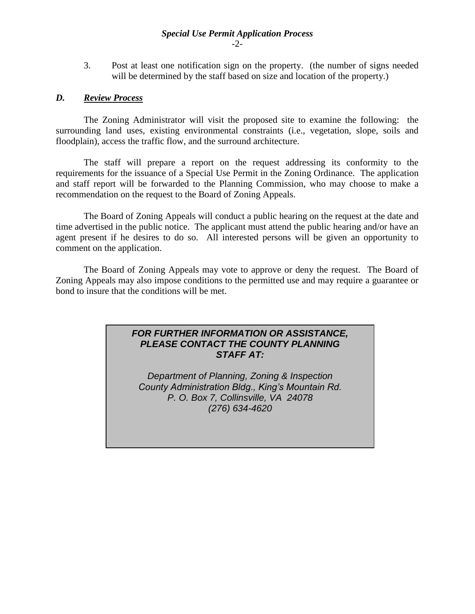## *Special Use Permit Application Process* -2-

3. Post at least one notification sign on the property. (the number of signs needed will be determined by the staff based on size and location of the property.)

## *D. Review Process*

The Zoning Administrator will visit the proposed site to examine the following: the surrounding land uses, existing environmental constraints (i.e., vegetation, slope, soils and floodplain), access the traffic flow, and the surround architecture.

The staff will prepare a report on the request addressing its conformity to the requirements for the issuance of a Special Use Permit in the Zoning Ordinance. The application and staff report will be forwarded to the Planning Commission, who may choose to make a recommendation on the request to the Board of Zoning Appeals.

The Board of Zoning Appeals will conduct a public hearing on the request at the date and time advertised in the public notice. The applicant must attend the public hearing and/or have an agent present if he desires to do so. All interested persons will be given an opportunity to comment on the application.

The Board of Zoning Appeals may vote to approve or deny the request. The Board of Zoning Appeals may also impose conditions to the permitted use and may require a guarantee or bond to insure that the conditions will be met.

## *FOR FURTHER INFORMATION OR ASSISTANCE, PLEASE CONTACT THE COUNTY PLANNING STAFF AT:*

*Department of Planning, Zoning & Inspection County Administration Bldg., King's Mountain Rd. P. O. Box 7, Collinsville, VA 24078 (276) 634-4620*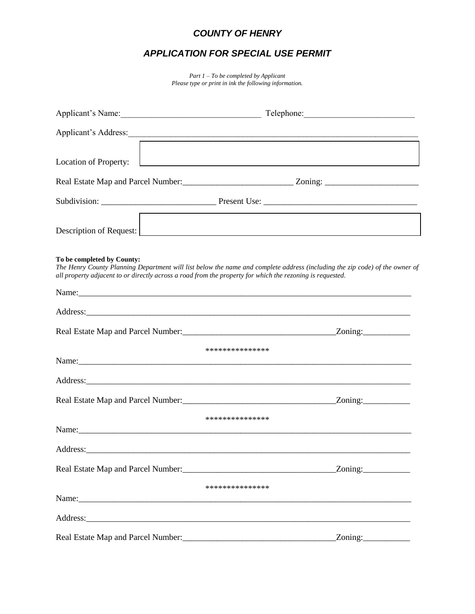# *COUNTY OF HENRY*

# *APPLICATION FOR SPECIAL USE PERMIT*

*Part 1 – To be completed by Applicant Please type or print in ink the following information.*

|                                                                                                                                                                                                                                        | Applicant's Address: 1988.                                                                                                                                                                                                                       |
|----------------------------------------------------------------------------------------------------------------------------------------------------------------------------------------------------------------------------------------|--------------------------------------------------------------------------------------------------------------------------------------------------------------------------------------------------------------------------------------------------|
| Location of Property:                                                                                                                                                                                                                  | <u> 1986 - Johann Stein, fransk politik (d. 1986)</u>                                                                                                                                                                                            |
|                                                                                                                                                                                                                                        |                                                                                                                                                                                                                                                  |
|                                                                                                                                                                                                                                        |                                                                                                                                                                                                                                                  |
|                                                                                                                                                                                                                                        | Description of Request: New York Changes and Security Changes and Security Changes and Security Changes and Security Changes and Security Changes and Security Changes and Security Changes and Security Changes and Security                    |
| To be completed by County:                                                                                                                                                                                                             | The Henry County Planning Department will list below the name and complete address (including the zip code) of the owner of<br>all property adjacent to or directly across a road from the property for which the rezoning is requested.         |
|                                                                                                                                                                                                                                        | Name: Name: Name: Name: Name: Name: Name: Name: Name: Name: Name: Name: Name: Name: Name: Name: Name: Name: Name: Name: Name: Name: Name: Name: Name: Name: Name: Name: Name: Name: Name: Name: Name: Name: Name: Name: Name:                    |
|                                                                                                                                                                                                                                        | Address: Address:                                                                                                                                                                                                                                |
|                                                                                                                                                                                                                                        |                                                                                                                                                                                                                                                  |
|                                                                                                                                                                                                                                        | ***************<br>Name: Name: Name: Name: Name: Name: Name: Name: Name: Name: Name: Name: Name: Name: Name: Name: Name: Name: Name: Name: Name: Name: Name: Name: Name: Name: Name: Name: Name: Name: Name: Name: Name: Name: Name: Name: Name: |
|                                                                                                                                                                                                                                        |                                                                                                                                                                                                                                                  |
|                                                                                                                                                                                                                                        |                                                                                                                                                                                                                                                  |
|                                                                                                                                                                                                                                        | ***************<br>Name: Name:                                                                                                                                                                                                                   |
|                                                                                                                                                                                                                                        |                                                                                                                                                                                                                                                  |
|                                                                                                                                                                                                                                        |                                                                                                                                                                                                                                                  |
|                                                                                                                                                                                                                                        | ***************                                                                                                                                                                                                                                  |
|                                                                                                                                                                                                                                        |                                                                                                                                                                                                                                                  |
| Real Estate Map and Parcel Number:<br><u>Leadenborne and the contract of the set of the set of the set of the set of the set of the set of the set of the set of the set of the set of the set of the set of the set of the set of</u> | Zoning:                                                                                                                                                                                                                                          |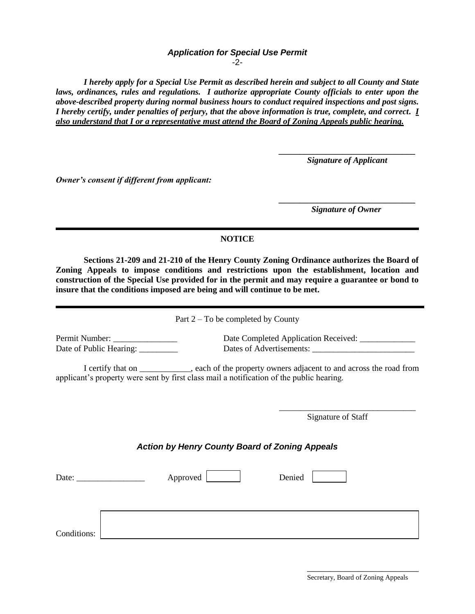## *Application for Special Use Permit*

-2-

*I hereby apply for a Special Use Permit as described herein and subject to all County and State laws, ordinances, rules and regulations. I authorize appropriate County officials to enter upon the above-described property during normal business hours to conduct required inspections and post signs. I hereby certify, under penalties of perjury, that the above information is true, complete, and correct. I also understand that I or a representative must attend the Board of Zoning Appeals public hearing.*

> *\_\_\_\_\_\_\_\_\_\_\_\_\_\_\_\_\_\_\_\_\_\_\_\_\_\_\_\_\_\_\_\_ Signature of Applicant*

*Owner's consent if different from applicant:*

*\_\_\_\_\_\_\_\_\_\_\_\_\_\_\_\_\_\_\_\_\_\_\_\_\_\_\_\_\_\_\_\_ Signature of Owner*

## **NOTICE**

**Sections 21-209 and 21-210 of the Henry County Zoning Ordinance authorizes the Board of Zoning Appeals to impose conditions and restrictions upon the establishment, location and construction of the Special Use provided for in the permit and may require a guarantee or bond to insure that the conditions imposed are being and will continue to be met.**

Part 2 – To be completed by County

Permit Number: \_\_\_\_\_\_\_\_\_\_\_\_\_\_\_\_\_\_\_\_\_\_\_ Date Completed Application Received: \_\_\_\_\_\_\_\_\_\_\_ Date of Public Hearing: \_\_\_\_\_\_\_\_\_\_\_\_\_\_\_\_ Dates of Advertisements: \_\_\_\_\_\_\_\_\_\_\_\_\_\_

I certify that on \_\_\_\_\_\_\_\_\_\_\_\_, each of the property owners adjacent to and across the road from applicant's property were sent by first class mail a notification of the public hearing.

Signature of Staff

\_\_\_\_\_\_\_\_\_\_\_\_\_\_\_\_\_\_\_\_\_\_\_\_\_\_\_\_\_\_\_\_

### *Action by Henry County Board of Zoning Appeals*

| Date:       |  | Approved | Denied |
|-------------|--|----------|--------|
|             |  |          |        |
| Conditions: |  |          |        |